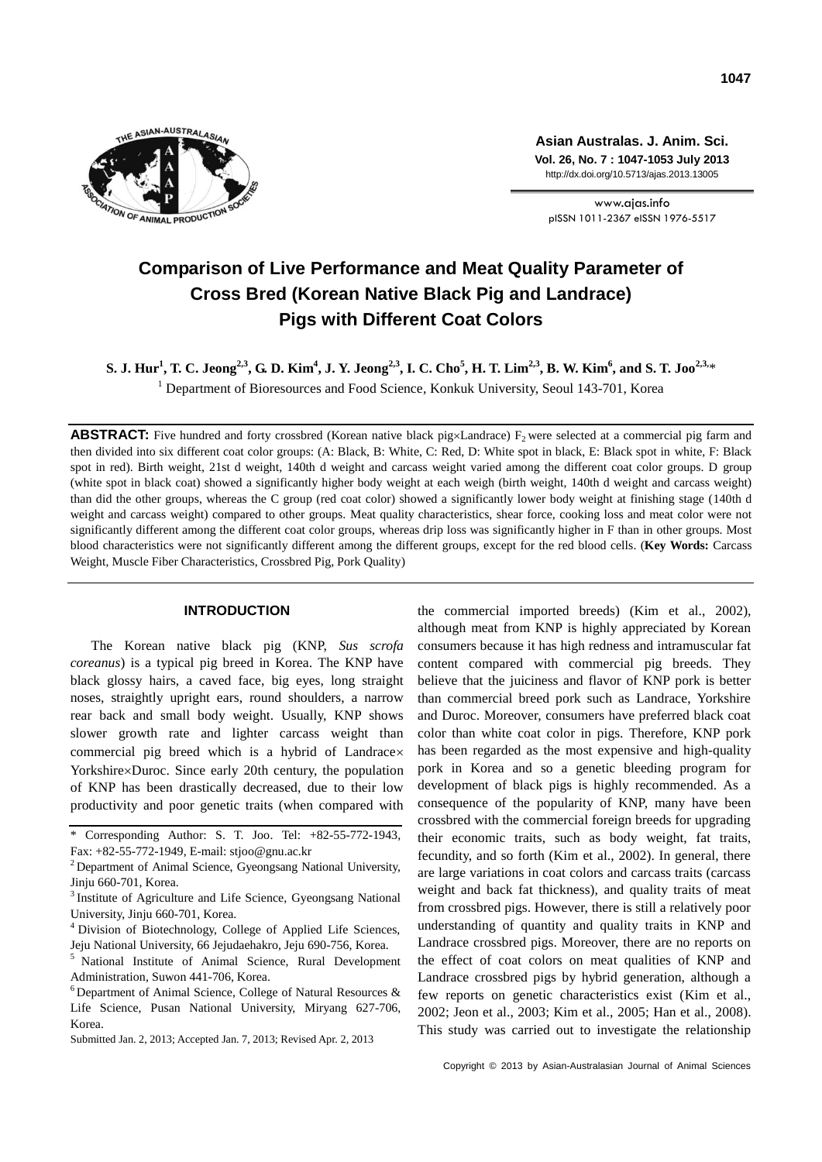

**Asian Australas. J. Anim. Sci. Vol. 26, No. 7 : 1047-1053 July 2013** http://dx.doi.org/10.5713/ajas.2013.13005

www.ajas.info pISSN 1011-2367 eISSN 1976-5517

# **Comparison of Live Performance and Meat Quality Parameter of Cross Bred (Korean Native Black Pig and Landrace) Pigs with Different Coat Colors**

S. J. Hur $^1$ , T. C. Jeong $^{2,3}$ , G. D. Kim $^4$ , J. Y. Jeong $^{2,3}$ , I. C. Cho $^5$ , H. T. Lim $^{2,3}$ , B. W. Kim $^6$ , and S. T. Joo $^{2,3,\ast}$ <sup>1</sup> Department of Bioresources and Food Science, Konkuk University, Seoul 143-701, Korea

**ABSTRACT:** Five hundred and forty crossbred (Korean native black pigxLandrace)  $F_2$  were selected at a commercial pig farm and then divided into six different coat color groups: (A: Black, B: White, C: Red, D: White spot in black, E: Black spot in white, F: Black spot in red). Birth weight, 21st d weight, 140th d weight and carcass weight varied among the different coat color groups. D group (white spot in black coat) showed a significantly higher body weight at each weigh (birth weight, 140th d weight and carcass weight) than did the other groups, whereas the C group (red coat color) showed a significantly lower body weight at finishing stage (140th d weight and carcass weight) compared to other groups. Meat quality characteristics, shear force, cooking loss and meat color were not significantly different among the different coat color groups, whereas drip loss was significantly higher in F than in other groups. Most blood characteristics were not significantly different among the different groups, except for the red blood cells. (**Key Words:** Carcass Weight, Muscle Fiber Characteristics, Crossbred Pig, Pork Quality)

# **INTRODUCTION**

The Korean native black pig (KNP, *Sus scrofa coreanus*) is a typical pig breed in Korea. The KNP have black glossy hairs, a caved face, big eyes, long straight noses, straightly upright ears, round shoulders, a narrow rear back and small body weight. Usually, KNP shows slower growth rate and lighter carcass weight than commercial pig breed which is a hybrid of Landrace Yorkshire×Duroc. Since early 20th century, the population of KNP has been drastically decreased, due to their low productivity and poor genetic traits (when compared with

the commercial imported breeds) (Kim et al., 2002), although meat from KNP is highly appreciated by Korean consumers because it has high redness and intramuscular fat content compared with commercial pig breeds. They believe that the juiciness and flavor of KNP pork is better than commercial breed pork such as Landrace, Yorkshire and Duroc. Moreover, consumers have preferred black coat color than white coat color in pigs. Therefore, KNP pork has been regarded as the most expensive and high-quality pork in Korea and so a genetic bleeding program for development of black pigs is highly recommended. As a consequence of the popularity of KNP, many have been crossbred with the commercial foreign breeds for upgrading their economic traits, such as body weight, fat traits, fecundity, and so forth (Kim et al., 2002). In general, there are large variations in coat colors and carcass traits (carcass weight and back fat thickness), and quality traits of meat from crossbred pigs. However, there is still a relatively poor understanding of quantity and quality traits in KNP and Landrace crossbred pigs. Moreover, there are no reports on the effect of coat colors on meat qualities of KNP and Landrace crossbred pigs by hybrid generation, although a few reports on genetic characteristics exist (Kim et al., 2002; Jeon et al., 2003; Kim et al., 2005; Han et al., 2008). This study was carried out to investigate the relationship

Corresponding Author: S. T. Joo. Tel: +82-55-772-1943, Fax: +82-55-772-1949, E-mail: stjoo@gnu.ac.kr

<sup>&</sup>lt;sup>2</sup> Department of Animal Science, Gyeongsang National University, Jinju 660-701, Korea.

<sup>&</sup>lt;sup>3</sup> Institute of Agriculture and Life Science, Gyeongsang National University, Jinju 660-701, Korea.

<sup>4</sup>Division of Biotechnology, College of Applied Life Sciences, Jeju National University, 66 Jejudaehakro, Jeju 690-756, Korea.

<sup>5</sup>National Institute of Animal Science, Rural Development Administration, Suwon 441-706, Korea.

 $6$  Department of Animal Science, College of Natural Resources  $\&$ Life Science, Pusan National University, Miryang 627-706, Korea.

Submitted Jan. 2, 2013; Accepted Jan. 7, 2013; Revised Apr. 2, 2013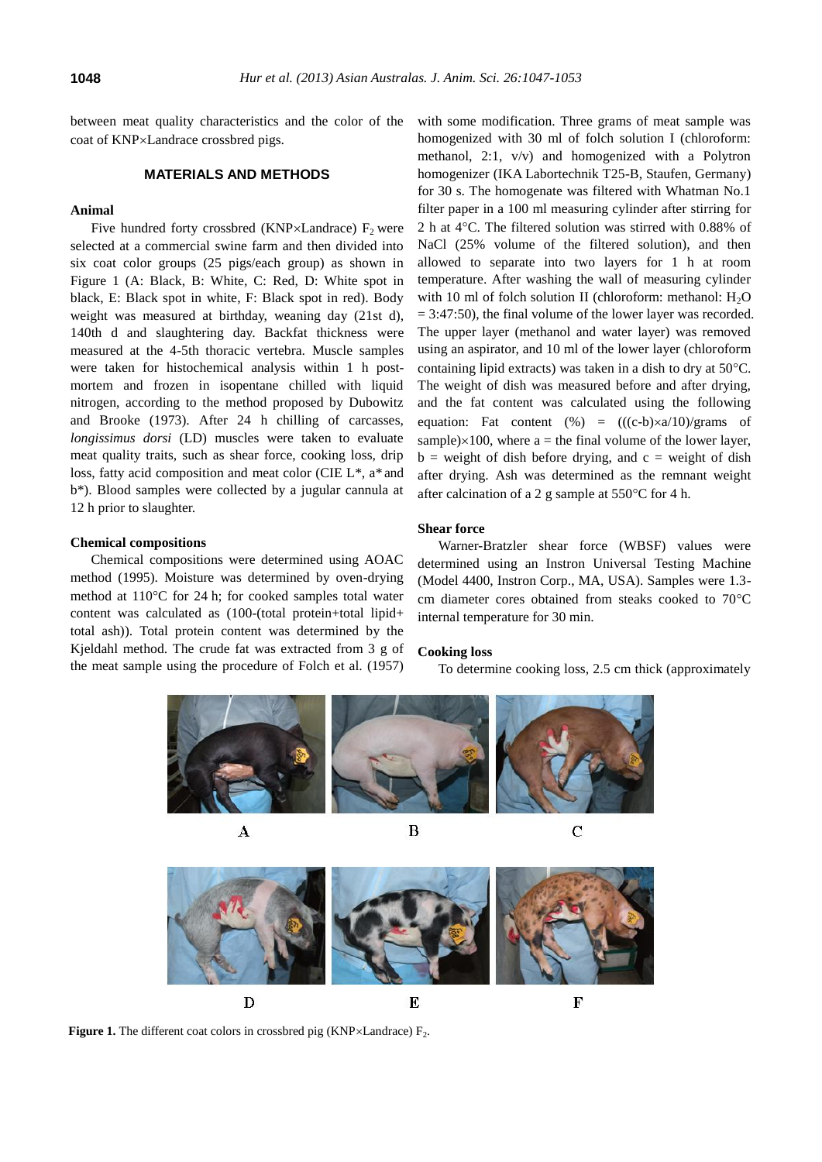between meat quality characteristics and the color of the coat of KNP×Landrace crossbred pigs.

## **MATERIALS AND METHODS**

## **Animal**

Five hundred forty crossbred (KNP $\times$ Landrace) F<sub>2</sub> were selected at a commercial swine farm and then divided into six coat color groups (25 pigs/each group) as shown in Figure 1 (A: Black, B: White, C: Red, D: White spot in black, E: Black spot in white, F: Black spot in red). Body weight was measured at birthday, weaning day (21st d), 140th d and slaughtering day. Backfat thickness were measured at the 4-5th thoracic vertebra. Muscle samples were taken for histochemical analysis within 1 h postmortem and frozen in isopentane chilled with liquid nitrogen, according to the method proposed by Dubowitz and Brooke (1973). After 24 h chilling of carcasses, *longissimus dorsi* (LD) muscles were taken to evaluate meat quality traits, such as shear force, cooking loss, drip loss, fatty acid composition and meat color (CIE L\*, a\* and b\*). Blood samples were collected by a jugular cannula at 12 h prior to slaughter.

## **Chemical compositions**

Chemical compositions were determined using AOAC method (1995). Moisture was determined by oven-drying method at  $110^{\circ}$ C for 24 h; for cooked samples total water content was calculated as (100-(total protein+total lipid+ total ash)). Total protein content was determined by the Kjeldahl method. The crude fat was extracted from 3 g of the meat sample using the procedure of Folch et al. (1957)

with some modification. Three grams of meat sample was homogenized with 30 ml of folch solution I (chloroform: methanol, 2:1, v/v) and homogenized with a Polytron homogenizer (IKA Labortechnik T25-B, Staufen, Germany) for 30 s. The homogenate was filtered with Whatman No.1 filter paper in a 100 ml measuring cylinder after stirring for 2 h at 4°C. The filtered solution was stirred with 0.88% of NaCl (25% volume of the filtered solution), and then allowed to separate into two layers for 1 h at room temperature. After washing the wall of measuring cylinder with 10 ml of folch solution II (chloroform: methanol:  $H_2O$  $= 3:47:50$ , the final volume of the lower layer was recorded. The upper layer (methanol and water layer) was removed using an aspirator, and 10 ml of the lower layer (chloroform containing lipid extracts) was taken in a dish to dry at  $50^{\circ}$ C. The weight of dish was measured before and after drying, and the fat content was calculated using the following equation: Fat content  $(\%) = ((c-b)\times a/10)/\text{grams}$  of sample) $\times100$ , where a = the final volume of the lower layer,  $b =$  weight of dish before drying, and  $c =$  weight of dish after drying. Ash was determined as the remnant weight after calcination of a 2 g sample at  $550^{\circ}$ C for 4 h.

#### **Shear force**

Warner-Bratzler shear force (WBSF) values were determined using an Instron Universal Testing Machine (Model 4400, Instron Corp., MA, USA). Samples were 1.3 cm diameter cores obtained from steaks cooked to  $70^{\circ}$ C internal temperature for 30 min.

#### **Cooking loss**

To determine cooking loss, 2.5 cm thick (approximately



 $\boldsymbol{A}$ 



**Figure 1.** The different coat colors in crossbred pig (KNP $\times$ Landrace)  $F_2$ .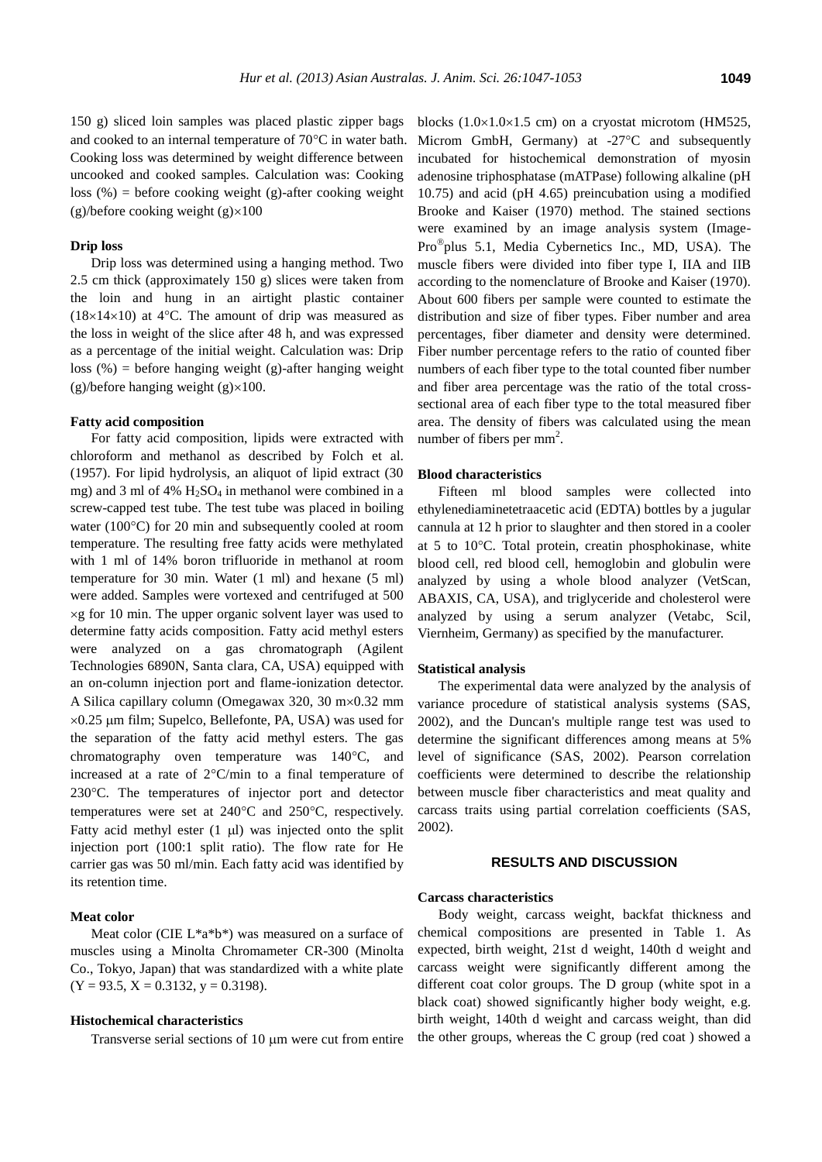150 g) sliced loin samples was placed plastic zipper bags and cooked to an internal temperature of  $70^{\circ}$ C in water bath. Cooking loss was determined by weight difference between uncooked and cooked samples. Calculation was: Cooking loss  $(\%)$  = before cooking weight (g)-after cooking weight (g)/before cooking weight  $(g) \times 100$ 

#### **Drip loss**

Drip loss was determined using a hanging method. Two 2.5 cm thick (approximately 150 g) slices were taken from the loin and hung in an airtight plastic container  $(18\times14\times10)$  at 4°C. The amount of drip was measured as the loss in weight of the slice after 48 h, and was expressed as a percentage of the initial weight. Calculation was: Drip loss  $(\%)$  = before hanging weight (g)-after hanging weight (g)/before hanging weight (g) $\times100$ .

#### **Fatty acid composition**

For fatty acid composition, lipids were extracted with chloroform and methanol as described by Folch et al. (1957). For lipid hydrolysis, an aliquot of lipid extract (30 mg) and 3 ml of 4%  $H<sub>2</sub>SO<sub>4</sub>$  in methanol were combined in a screw-capped test tube. The test tube was placed in boiling water ( $100^{\circ}$ C) for 20 min and subsequently cooled at room temperature. The resulting free fatty acids were methylated with 1 ml of 14% boron trifluoride in methanol at room temperature for 30 min. Water (1 ml) and hexane (5 ml) were added. Samples were vortexed and centrifuged at 500  $\times$ g for 10 min. The upper organic solvent layer was used to determine fatty acids composition. Fatty acid methyl esters were analyzed on a gas chromatograph (Agilent Technologies 6890N, Santa clara, CA, USA) equipped with an on-column injection port and flame-ionization detector. A Silica capillary column (Omegawax 320, 30 m×0.32 mm  $\times 0.25$  µm film; Supelco, Bellefonte, PA, USA) was used for the separation of the fatty acid methyl esters. The gas chromatography oven temperature was  $140^{\circ}$ C, and increased at a rate of  $2^{\circ}$ C/min to a final temperature of 230C. The temperatures of injector port and detector temperatures were set at  $240^{\circ}$ C and  $250^{\circ}$ C, respectively. Fatty acid methyl ester  $(1 \mu l)$  was injected onto the split injection port (100:1 split ratio). The flow rate for He carrier gas was 50 ml/min. Each fatty acid was identified by its retention time.

### **Meat color**

Meat color (CIE L\*a\*b\*) was measured on a surface of muscles using a Minolta Chromameter CR-300 (Minolta Co., Tokyo, Japan) that was standardized with a white plate  $(Y = 93.5, X = 0.3132, y = 0.3198).$ 

#### **Histochemical characteristics**

Transverse serial sections of  $10 \mu m$  were cut from entire

blocks  $(1.0\times1.0\times1.5$  cm) on a cryostat microtom (HM525, Microm GmbH, Germany) at -27°C and subsequently incubated for histochemical demonstration of myosin adenosine triphosphatase (mATPase) following alkaline (pH 10.75) and acid (pH 4.65) preincubation using a modified Brooke and Kaiser (1970) method. The stained sections were examined by an image analysis system (Image-Pro<sup>®</sup>plus 5.1, Media Cybernetics Inc., MD, USA). The muscle fibers were divided into fiber type I, IIA and IIB according to the nomenclature of Brooke and Kaiser (1970). About 600 fibers per sample were counted to estimate the distribution and size of fiber types. Fiber number and area percentages, fiber diameter and density were determined. Fiber number percentage refers to the ratio of counted fiber numbers of each fiber type to the total counted fiber number and fiber area percentage was the ratio of the total crosssectional area of each fiber type to the total measured fiber area. The density of fibers was calculated using the mean number of fibers per mm<sup>2</sup>.

## **Blood characteristics**

Fifteen ml blood samples were collected into ethylenediaminetetraacetic acid (EDTA) bottles by a jugular cannula at 12 h prior to slaughter and then stored in a cooler at  $5$  to  $10^{\circ}$ C. Total protein, creatin phosphokinase, white blood cell, red blood cell, hemoglobin and globulin were analyzed by using a whole blood analyzer (VetScan, ABAXIS, CA, USA), and triglyceride and cholesterol were analyzed by using a serum analyzer (Vetabc, Scil, Viernheim, Germany) as specified by the manufacturer.

#### **Statistical analysis**

The experimental data were analyzed by the analysis of variance procedure of statistical analysis systems (SAS, 2002), and the Duncan's multiple range test was used to determine the significant differences among means at 5% level of significance (SAS, 2002). Pearson correlation coefficients were determined to describe the relationship between muscle fiber characteristics and meat quality and carcass traits using partial correlation coefficients (SAS, 2002).

## **RESULTS AND DISCUSSION**

#### **Carcass characteristics**

Body weight, carcass weight, backfat thickness and chemical compositions are presented in Table 1. As expected, birth weight, 21st d weight, 140th d weight and carcass weight were significantly different among the different coat color groups. The D group (white spot in a black coat) showed significantly higher body weight, e.g. birth weight, 140th d weight and carcass weight, than did the other groups, whereas the C group (red coat ) showed a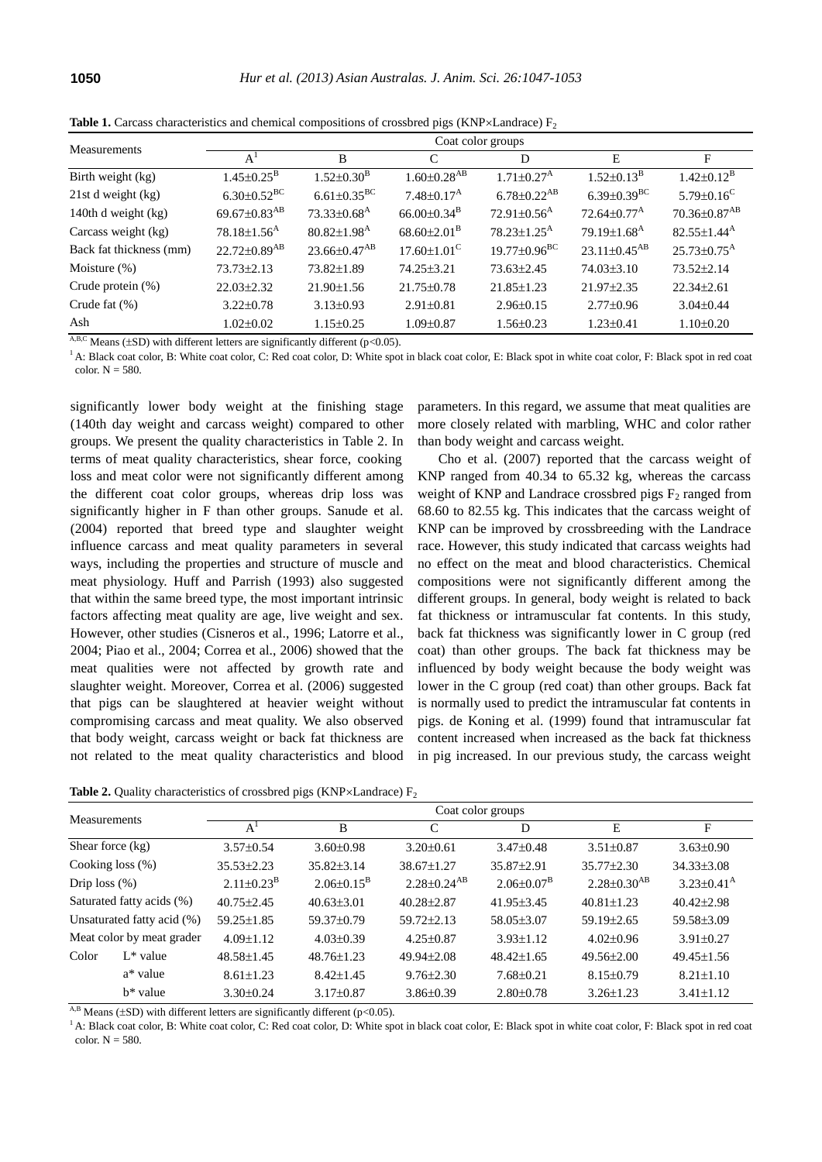| <b>Measurements</b>     | Coat color groups              |                                |                               |                               |                                |                               |  |
|-------------------------|--------------------------------|--------------------------------|-------------------------------|-------------------------------|--------------------------------|-------------------------------|--|
|                         | $A^1$                          | B                              | C                             | D                             | E                              | $\mathbf{F}$                  |  |
| Birth weight (kg)       | $1.45 \pm 0.25^{\rm B}$        | $1.52 \pm 0.30^{\rm B}$        | $1.60 {\pm} 0.28^\text{AB}$   | $1.71 \pm 0.27$ <sup>A</sup>  | $1.52 \pm 0.13^{\rm B}$        | $1.42 \pm 0.12^{\rm B}$       |  |
| $21st$ d weight $(kg)$  | $6.30\pm0.52^{\rm BC}$         | $6.61 \pm 0.35^{\rm BC}$       | $7.48 \pm 0.17^{\rm A}$       | $6.78 \pm 0.22^{AB}$          | $6.39 \pm 0.39$ <sup>BC</sup>  | $5.79 \pm 0.16$ <sup>C</sup>  |  |
| 140th d weight (kg)     | 69.67 $\pm$ 0.83 <sup>AB</sup> | $73.33\pm0.68^{\rm A}$         | $66.00 \pm 0.34$ <sup>B</sup> | $72.91 \pm 0.56$ <sup>A</sup> | $72.64 \pm 0.77^{\rm A}$       | 70.36±0.87 <sup>AB</sup>      |  |
| Carcass weight (kg)     | $78.18 \pm 1.56$ <sup>A</sup>  | $80.82 \pm 1.98$ <sup>A</sup>  | $68.60 \pm 2.01^{\mathrm{B}}$ | $78.23 \pm 1.25$ <sup>A</sup> | 79.19 $\pm$ 1.68 <sup>A</sup>  | $82.55 \pm 1.44^{\rm A}$      |  |
| Back fat thickness (mm) | $22.72 \pm 0.89$ <sup>AB</sup> | $23.66 \pm 0.47$ <sup>AB</sup> | $17.60 \pm 1.01$ <sup>C</sup> | $19.77 \pm 0.96^{\text{BC}}$  | $23.11 \pm 0.45$ <sup>AB</sup> | $25.73 \pm 0.75$ <sup>A</sup> |  |
| Moisture $(\%)$         | $73.73 \pm 2.13$               | 73.82±1.89                     | 74.25±3.21                    | $73.63 \pm 2.45$              | $74.03\pm3.10$                 | $73.52 \pm 2.14$              |  |
| Crude protein $(\%)$    | $22.03 \pm 2.32$               | $21.90 \pm 1.56$               | $21.75 \pm 0.78$              | $21.85 \pm 1.23$              | $21.97 \pm 2.35$               | $22.34 \pm 2.61$              |  |
| Crude fat $(\%)$        | $3.22 \pm 0.78$                | $3.13 \pm 0.93$                | $2.91 \pm 0.81$               | $2.96 \pm 0.15$               | $2.77 \pm 0.96$                | $3.04 \pm 0.44$               |  |
| Ash                     | $1.02 \pm 0.02$                | $1.15 \pm 0.25$                | $1.09 \pm 0.87$               | $1.56 \pm 0.23$               | $1.23 \pm 0.41$                | $1.10\pm0.20$                 |  |

**Table 1.** Carcass characteristics and chemical compositions of crossbred pigs (KNP $\times$ Landrace)  $F_2$ 

 $\overline{AB,C}$  Means ( $\pm$ SD) with different letters are significantly different (p<0.05).

<sup>1</sup> A: Black coat color, B: White coat color, C: Red coat color, D: White spot in black coat color, E: Black spot in white coat color, F: Black spot in red coat color. N = 580.

significantly lower body weight at the finishing stage (140th day weight and carcass weight) compared to other groups. We present the quality characteristics in Table 2. In terms of meat quality characteristics, shear force, cooking loss and meat color were not significantly different among the different coat color groups, whereas drip loss was significantly higher in F than other groups. Sanude et al. (2004) reported that breed type and slaughter weight influence carcass and meat quality parameters in several ways, including the properties and structure of muscle and meat physiology. Huff and Parrish (1993) also suggested that within the same breed type, the most important intrinsic factors affecting meat quality are age, live weight and sex. However, other studies (Cisneros et al., 1996; Latorre et al., 2004; Piao et al., 2004; Correa et al., 2006) showed that the meat qualities were not affected by growth rate and slaughter weight. Moreover, Correa et al. (2006) suggested that pigs can be slaughtered at heavier weight without compromising carcass and meat quality. We also observed that body weight, carcass weight or back fat thickness are not related to the meat quality characteristics and blood

parameters. In this regard, we assume that meat qualities are more closely related with marbling, WHC and color rather than body weight and carcass weight.

Cho et al. (2007) reported that the carcass weight of KNP ranged from 40.34 to 65.32 kg, whereas the carcass weight of KNP and Landrace crossbred pigs  $F_2$  ranged from 68.60 to 82.55 kg. This indicates that the carcass weight of KNP can be improved by crossbreeding with the Landrace race. However, this study indicated that carcass weights had no effect on the meat and blood characteristics. Chemical compositions were not significantly different among the different groups. In general, body weight is related to back fat thickness or intramuscular fat contents. In this study, back fat thickness was significantly lower in C group (red coat) than other groups. The back fat thickness may be influenced by body weight because the body weight was lower in the C group (red coat) than other groups. Back fat is normally used to predict the intramuscular fat contents in pigs. de Koning et al. (1999) found that intramuscular fat content increased when increased as the back fat thickness in pig increased. In our previous study, the carcass weight

**Table 2.** Quality characteristics of crossbred pigs (KNP $\times$ Landrace)  $F_2$ 

| <b>Measurements</b> |                            | Coat color groups       |                       |                               |                   |                      |                            |  |  |
|---------------------|----------------------------|-------------------------|-----------------------|-------------------------------|-------------------|----------------------|----------------------------|--|--|
|                     |                            | $A^1$                   | B                     | C                             | D                 | E                    | F                          |  |  |
| Shear force $(kg)$  |                            | $3.57 \pm 0.54$         | $3.60\pm0.98$         | $3.20 \pm 0.61$               | $3.47\pm0.48$     | $3.51 \pm 0.87$      | $3.63\pm0.90$              |  |  |
|                     | Cooking loss $(\%)$        | $35.53 \pm 2.23$        | $35.82 \pm 3.14$      | $38.67 \pm 1.27$              | 35.87±2.91        | $35.77 \pm 2.30$     | $34.33 \pm 3.08$           |  |  |
| Drip loss $(\%)$    |                            | $2.11 \pm 0.23^{\rm B}$ | $2.06\pm0.15^{\rm B}$ | $2.28 \pm 0.24$ <sup>AB</sup> | $2.06\pm0.07^{B}$ | $2.28 \pm 0.30^{AB}$ | $3.23 \pm 0.41^{\text{A}}$ |  |  |
|                     | Saturated fatty acids (%)  | $40.75 \pm 2.45$        | $40.63 \pm 3.01$      | $40.28 \pm 2.87$              | $41.95 \pm 3.45$  | $40.81 \pm 1.23$     | $40.42 \pm 2.98$           |  |  |
|                     | Unsaturated fatty acid (%) | $59.25 \pm 1.85$        | $59.37 \pm 0.79$      | $59.72 \pm 2.13$              | $58.05 \pm 3.07$  | $59.19 \pm 2.65$     | 59.58±3.09                 |  |  |
|                     | Meat color by meat grader  | $4.09 \pm 1.12$         | $4.03\pm0.39$         | $4.25 \pm 0.87$               | $3.93 \pm 1.12$   | $4.02\pm0.96$        | $3.91 \pm 0.27$            |  |  |
| Color               | $L^*$ value                | $48.58 \pm 1.45$        | $48.76 \pm 1.23$      | $49.94 \pm 2.08$              | $48.42 \pm 1.65$  | $49.56 \pm 2.00$     | $49.45 \pm 1.56$           |  |  |
|                     | a* value                   | $8.61 \pm 1.23$         | $8.42 \pm 1.45$       | $9.76 \pm 2.30$               | $7.68 \pm 0.21$   | $8.15 \pm 0.79$      | $8.21 \pm 1.10$            |  |  |
|                     | $h^*$ value                | $3.30\pm0.24$           | $3.17 \pm 0.87$       | $3.86\pm0.39$                 | $2.80\pm0.78$     | $3.26 \pm 1.23$      | $3.41 \pm 1.12$            |  |  |

<sup>A,B</sup> Means ( $\pm$ SD) with different letters are significantly different (p<0.05).

<sup>1</sup> A: Black coat color, B: White coat color, C: Red coat color, D: White spot in black coat color, E: Black spot in white coat color, F: Black spot in red coat color.  $N = 580$ .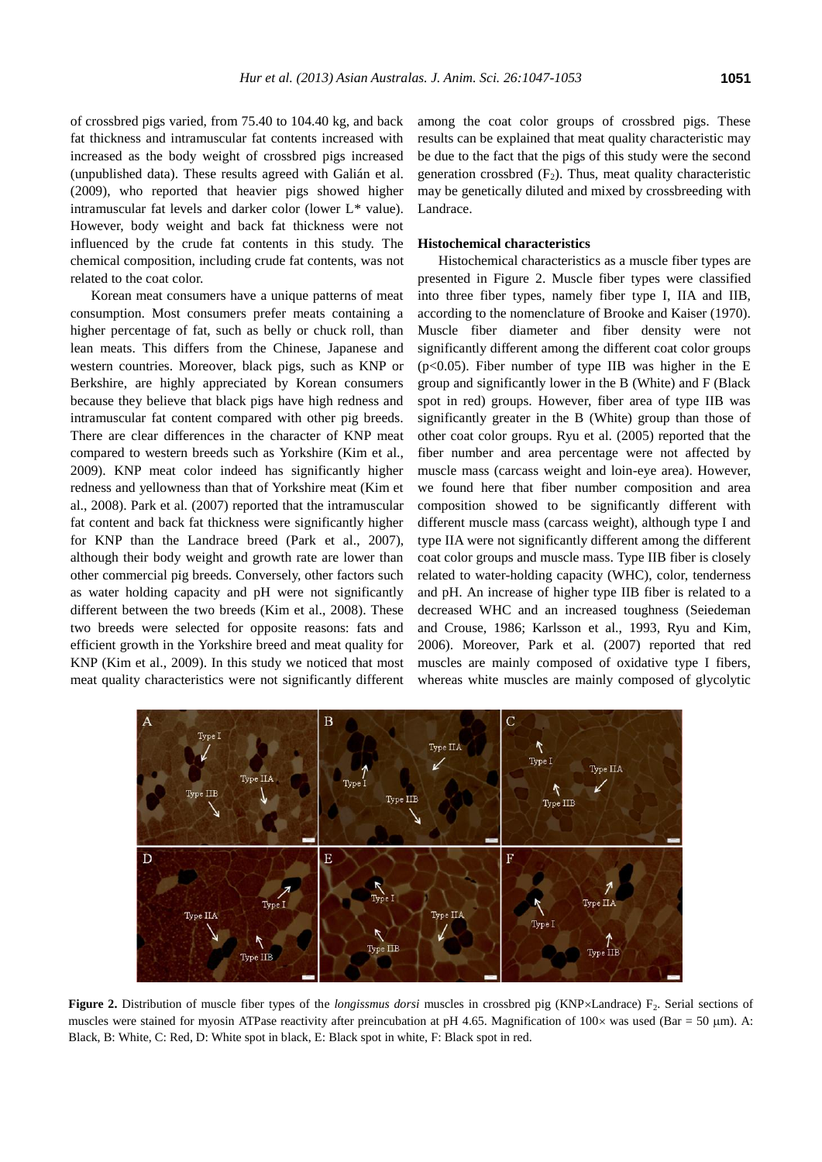of crossbred pigs varied, from 75.40 to 104.40 kg, and back fat thickness and intramuscular fat contents increased with increased as the body weight of crossbred pigs increased (unpublished data). These results agreed with Galián et al. (2009), who reported that heavier pigs showed higher intramuscular fat levels and darker color (lower L\* value). However, body weight and back fat thickness were not influenced by the crude fat contents in this study. The chemical composition, including crude fat contents, was not related to the coat color.

Korean meat consumers have a unique patterns of meat consumption. Most consumers prefer meats containing a higher percentage of fat, such as belly or chuck roll, than lean meats. This differs from the Chinese, Japanese and western countries. Moreover, black pigs, such as KNP or Berkshire, are highly appreciated by Korean consumers because they believe that black pigs have high redness and intramuscular fat content compared with other pig breeds. There are clear differences in the character of KNP meat compared to western breeds such as Yorkshire (Kim et al., 2009). KNP meat color indeed has significantly higher redness and yellowness than that of Yorkshire meat (Kim et al., 2008). Park et al. (2007) reported that the intramuscular fat content and back fat thickness were significantly higher for KNP than the Landrace breed (Park et al., 2007), although their body weight and growth rate are lower than other commercial pig breeds. Conversely, other factors such as water holding capacity and pH were not significantly different between the two breeds (Kim et al., 2008). These two breeds were selected for opposite reasons: fats and efficient growth in the Yorkshire breed and meat quality for KNP (Kim et al., 2009). In this study we noticed that most meat quality characteristics were not significantly different

among the coat color groups of crossbred pigs. These results can be explained that meat quality characteristic may be due to the fact that the pigs of this study were the second generation crossbred  $(F_2)$ . Thus, meat quality characteristic may be genetically diluted and mixed by crossbreeding with Landrace.

## **Histochemical characteristics**

Histochemical characteristics as a muscle fiber types are presented in Figure 2. Muscle fiber types were classified into three fiber types, namely fiber type I, IIA and IIB, according to the nomenclature of Brooke and Kaiser (1970). Muscle fiber diameter and fiber density were not significantly different among the different coat color groups  $(p<0.05)$ . Fiber number of type IIB was higher in the E group and significantly lower in the B (White) and F (Black spot in red) groups. However, fiber area of type IIB was significantly greater in the B (White) group than those of other coat color groups. Ryu et al. (2005) reported that the fiber number and area percentage were not affected by muscle mass (carcass weight and loin-eye area). However, we found here that fiber number composition and area composition showed to be significantly different with different muscle mass (carcass weight), although type I and type IIA were not significantly different among the different coat color groups and muscle mass. Type IIB fiber is closely related to water-holding capacity (WHC), color, tenderness and pH. An increase of higher type IIB fiber is related to a decreased WHC and an increased toughness (Seiedeman and Crouse, 1986; Karlsson et al., 1993, Ryu and Kim, 2006). Moreover, Park et al. (2007) reported that red muscles are mainly composed of oxidative type I fibers, whereas white muscles are mainly composed of glycolytic



Figure 2. Distribution of muscle fiber types of the *longissmus dorsi* muscles in crossbred pig (KNP×Landrace) F<sub>2</sub>. Serial sections of muscles were stained for myosin ATPase reactivity after preincubation at pH 4.65. Magnification of  $100 \times$  was used (Bar = 50 µm). A: Black, B: White, C: Red, D: White spot in black, E: Black spot in white, F: Black spot in red.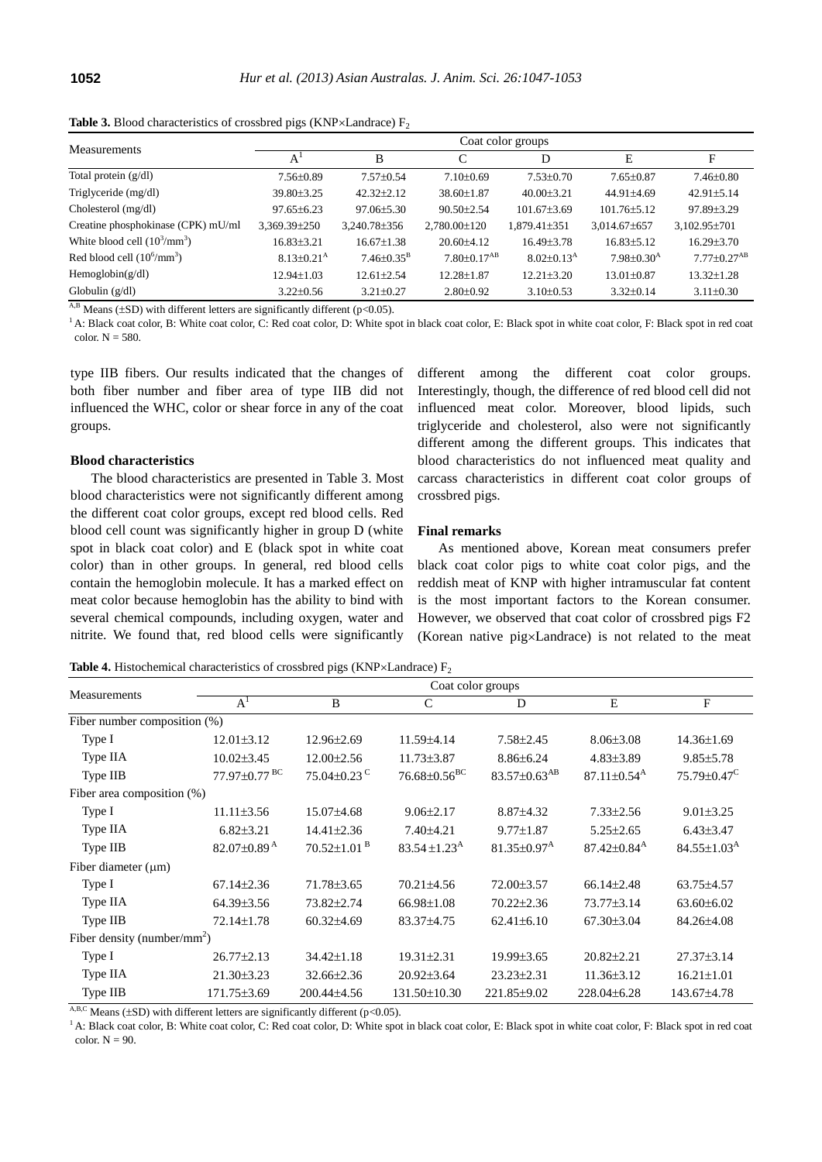**Table 3.** Blood characteristics of crossbred pigs (KNP $\times$ Landrace)  $F_2$ 

| <b>Measurements</b>                   | Coat color groups       |                         |                               |                            |                         |                           |  |
|---------------------------------------|-------------------------|-------------------------|-------------------------------|----------------------------|-------------------------|---------------------------|--|
|                                       | A                       | B                       | ⌒                             | D                          | E                       | F                         |  |
| Total protein $(g/dl)$                | $7.56 \pm 0.89$         | $7.57+0.54$             | $7.10+0.69$                   | $7.53 \pm 0.70$            | $7.65 \pm 0.87$         | $7.46 \pm 0.80$           |  |
| Triglyceride (mg/dl)                  | 39.80±3.25              | $42.32 + 2.12$          | $38.60 + 1.87$                | $40.00 + 3.21$             | $44.91 + 4.69$          | $42.91 + 5.14$            |  |
| Cholesterol (mg/dl)                   | $97.65 + 6.23$          | $97.06 + 5.30$          | $90.50 + 2.54$                | $101.67 + 3.69$            | $101.76 + 5.12$         | $97.89 + 3.29$            |  |
| Creatine phosphokinase (CPK) mU/ml    | 3,369.39±250            | 3,240.78±356            | 2,780.00±120                  | $1.879.41\pm351$           | $3,014.67\pm 657$       | $3,102.95 \pm 701$        |  |
| White blood cell $(10^3/\text{mm}^3)$ | 16.83+3.21              | $16.67 + 1.38$          | $20.60 + 4.12$                | $16.49 + 3.78$             | $16.83 + 5.12$          | $16.29 \pm 3.70$          |  |
| Red blood cell $(10^6/\text{mm}^3)$   | $8.13 \pm 0.21^{\rm A}$ | $7.46 \pm 0.35^{\rm B}$ | $7.80 \pm 0.17$ <sup>AB</sup> | $8.02 \pm 0.13^{\text{A}}$ | $7.98 \pm 0.30^{\rm A}$ | $7.77+0.27$ <sup>AB</sup> |  |
| Hemoglobin(g/dl)                      | 12.94+1.03              | $12.61 + 2.54$          | $12.28 + 1.87$                | $12.21 + 3.20$             | $13.01 + 0.87$          | $13.32 + 1.28$            |  |
| Globulin $(g/dl)$                     | $3.22 \pm 0.56$         | $3.21 \pm 0.27$         | $2.80 \pm 0.92$               | $3.10\pm0.53$              | $3.32 \pm 0.14$         | $3.11\pm0.30$             |  |

 $A$ ,B Means ( $\pm$ SD) with different letters are significantly different (p<0.05).

<sup>1</sup> A: Black coat color, B: White coat color, C: Red coat color, D: White spot in black coat color, E: Black spot in white coat color, F: Black spot in red coat color.  $N = 580$ .

type IIB fibers. Our results indicated that the changes of both fiber number and fiber area of type IIB did not influenced the WHC, color or shear force in any of the coat groups.

## **Blood characteristics**

The blood characteristics are presented in Table 3. Most blood characteristics were not significantly different among the different coat color groups, except red blood cells. Red blood cell count was significantly higher in group D (white spot in black coat color) and E (black spot in white coat color) than in other groups. In general, red blood cells contain the hemoglobin molecule. It has a marked effect on meat color because hemoglobin has the ability to bind with several chemical compounds, including oxygen, water and nitrite. We found that, red blood cells were significantly

different among the different coat color groups. Interestingly, though, the difference of red blood cell did not influenced meat color. Moreover, blood lipids, such triglyceride and cholesterol, also were not significantly different among the different groups. This indicates that blood characteristics do not influenced meat quality and carcass characteristics in different coat color groups of crossbred pigs.

#### **Final remarks**

As mentioned above, Korean meat consumers prefer black coat color pigs to white coat color pigs, and the reddish meat of KNP with higher intramuscular fat content is the most important factors to the Korean consumer. However, we observed that coat color of crossbred pigs F2 (Korean native  $\text{pi} \times \text{L}$ andrace) is not related to the meat

**Table 4.** Histochemical characteristics of crossbred pigs (KNP $\times$ Landrace) F<sub>2</sub>

| Measurements                            |                               | Coat color groups             |                                |                                |                               |                               |  |  |  |
|-----------------------------------------|-------------------------------|-------------------------------|--------------------------------|--------------------------------|-------------------------------|-------------------------------|--|--|--|
|                                         | $A^1$                         | B                             | $\mathcal{C}$                  | D                              | E                             | $\mathbf F$                   |  |  |  |
| Fiber number composition (%)            |                               |                               |                                |                                |                               |                               |  |  |  |
| Type I                                  | $12.01 \pm 3.12$              | $12.96 \pm 2.69$              | 11.59±4.14                     | $7.58 \pm 2.45$                | $8.06 \pm 3.08$               | $14.36 \pm 1.69$              |  |  |  |
| Type IIA                                | $10.02{\pm}3.45$              | $12.00 \pm 2.56$              | $11.73 \pm 3.87$               | $8.86 \pm 6.24$                | $4.83 \pm 3.89$               | $9.85 \pm 5.78$               |  |  |  |
| Type IIB                                | 77.97±0.77 <sup>BC</sup>      | $75.04 \pm 0.23$ <sup>C</sup> | $76.68 \pm 0.56$ <sup>BC</sup> | $83.57 \pm 0.63$ <sup>AB</sup> | $87.11 \pm 0.54$ <sup>A</sup> | $75.79 \pm 0.47$ <sup>C</sup> |  |  |  |
| Fiber area composition (%)              |                               |                               |                                |                                |                               |                               |  |  |  |
| Type I                                  | $11.11\pm3.56$                | 15.07±4.68                    | $9.06 \pm 2.17$                | $8.87{\pm}4.32$                | $7.33 \pm 2.56$               | $9.01 \pm 3.25$               |  |  |  |
| Type IIA                                | $6.82{\pm}3.21$               | $14.41 \pm 2.36$              | $7.40{\pm}4.21$                | $9.77 \pm 1.87$                | $5.25 \pm 2.65$               | $6.43{\pm}3.47$               |  |  |  |
| Type IIB                                | 82.07 $\pm$ 0.89 <sup>A</sup> | $70.52 \pm 1.01$ <sup>B</sup> | $83.54 \pm 1.23^{\rm A}$       | $81.35 \pm 0.97$ <sup>A</sup>  | $87.42 \pm 0.84$ <sup>A</sup> | $84.55 \pm 1.03^{\text{A}}$   |  |  |  |
| Fiber diameter $(\mu m)$                |                               |                               |                                |                                |                               |                               |  |  |  |
| Type I                                  | $67.14 \pm 2.36$              | 71.78±3.65                    | 70.21±4.56                     | 72.00±3.57                     | $66.14 \pm 2.48$              | 63.75±4.57                    |  |  |  |
| Type IIA                                | 64.39±3.56                    | 73.82±2.74                    | 66.98±1.08                     | $70.22 \pm 2.36$               | 73.77±3.14                    | $63.60 \pm 6.02$              |  |  |  |
| Type IIB                                | $72.14 \pm 1.78$              | $60.32{\pm}4.69$              | 83.37±4.75                     | $62.41 \pm 6.10$               | 67.30±3.04                    | 84.26±4.08                    |  |  |  |
| Fiber density (number/mm <sup>2</sup> ) |                               |                               |                                |                                |                               |                               |  |  |  |
| Type I                                  | $26.77 \pm 2.13$              | $34.42 \pm 1.18$              | $19.31 \pm 2.31$               | $19.99 \pm 3.65$               | $20.82 \pm 2.21$              | $27.37 \pm 3.14$              |  |  |  |
| Type IIA                                | $21.30 \pm 3.23$              | $32.66 \pm 2.36$              | $20.92 \pm 3.64$               | $23.23 \pm 2.31$               | $11.36 \pm 3.12$              | $16.21 \pm 1.01$              |  |  |  |
| Type IIB                                | 171.75±3.69                   | 200.44±4.56                   | 131.50±10.30                   | 221.85±9.02                    | 228.04±6.28                   | 143.67±4.78                   |  |  |  |

A,B,C Means ( $\pm$ SD) with different letters are significantly different (p<0.05).

<sup>1</sup> A: Black coat color, B: White coat color, C: Red coat color, D: White spot in black coat color, E: Black spot in white coat color, F: Black spot in red coat color.  $N = 90$ .